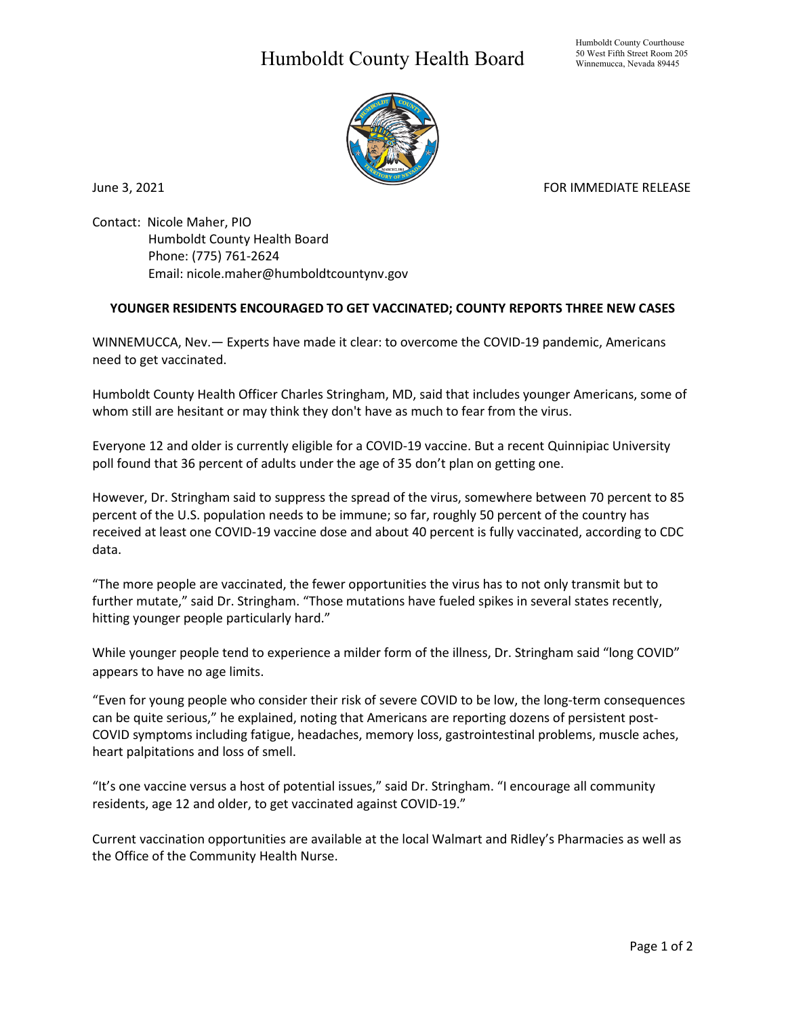## Humboldt County Health Board



June 3, 2021 **FOR IMMEDIATE RELEASE** 

Contact: Nicole Maher, PIO Humboldt County Health Board Phone: (775) 761-2624 Email: nicole.maher@humboldtcountynv.gov

## **YOUNGER RESIDENTS ENCOURAGED TO GET VACCINATED; COUNTY REPORTS THREE NEW CASES**

WINNEMUCCA, Nev.— Experts have made it clear: to overcome the COVID-19 pandemic, Americans need to get vaccinated.

Humboldt County Health Officer Charles Stringham, MD, said that includes younger Americans, some of whom still are hesitant or may think they don't have as much to fear from the virus.

Everyone 12 and older is currently eligible for a COVID-19 vaccine. But a recent Quinnipiac University poll found that 36 percent of adults under the age of 35 don't plan on getting one.

However, Dr. Stringham said to suppress the spread of the virus, somewhere between 70 percent to 85 percent of the U.S. population needs to be immune; so far, roughly 50 percent of the country has received at least one COVID-19 vaccine dose and about 40 percent is fully vaccinated, according to CDC data.

"The more people are vaccinated, the fewer opportunities the virus has to not only transmit but to further mutate," said Dr. Stringham. "Those mutations have fueled spikes in several states recently, hitting younger people particularly hard."

While younger people tend to experience a milder form of the illness, Dr. Stringham said "long COVID" appears to have no age limits.

"Even for young people who consider their risk of severe COVID to be low, the long-term consequences can be quite serious," he explained, noting that Americans are reporting dozens of persistent post-COVID symptoms including fatigue, headaches, memory loss, gastrointestinal problems, muscle aches, heart palpitations and loss of smell.

"It's one vaccine versus a host of potential issues," said Dr. Stringham. "I encourage all community residents, age 12 and older, to get vaccinated against COVID-19."

Current vaccination opportunities are available at the local Walmart and Ridley's Pharmacies as well as the Office of the Community Health Nurse.